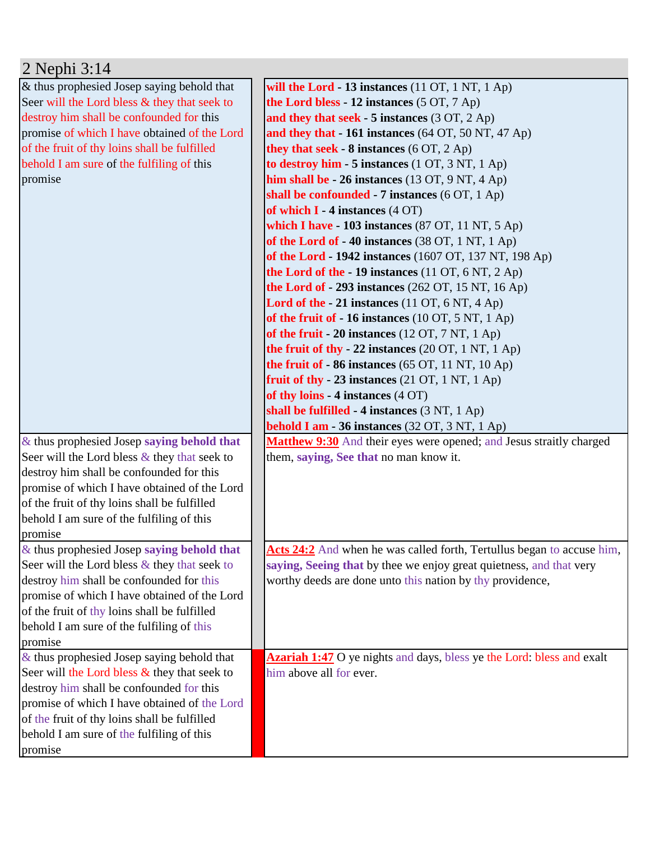| 2 Nephi 3:14                                    |                                                                                 |
|-------------------------------------------------|---------------------------------------------------------------------------------|
| & thus prophesied Josep saying behold that      | will the Lord - 13 instances $(11 OT, 1 NT, 1 Ap)$                              |
| Seer will the Lord bless & they that seek to    | the Lord bless - 12 instances (5 OT, 7 Ap)                                      |
| destroy him shall be confounded for this        | and they that seek $-5$ instances $(3 OT, 2 Ap)$                                |
| promise of which I have obtained of the Lord    | and they that - 161 instances (64 OT, 50 NT, 47 Ap)                             |
| of the fruit of thy loins shall be fulfilled    | they that seek - $8$ instances ( $6$ OT, $2$ Ap)                                |
| behold I am sure of the fulfiling of this       | to destroy him - 5 instances $(1 OT, 3 NT, 1 Ap)$                               |
| promise                                         | him shall be $-26$ instances (13 OT, 9 NT, 4 Ap)                                |
|                                                 | shall be confounded - 7 instances (6 OT, 1 Ap)                                  |
|                                                 | of which $I - 4$ instances $(4 \text{ OT})$                                     |
|                                                 | which I have - 103 instances $(87 \text{ OT}, 11 \text{ NT}, 5 \text{ Ap})$     |
|                                                 | of the Lord of - 40 instances (38 OT, 1 NT, 1 Ap)                               |
|                                                 | of the Lord - 1942 instances (1607 OT, 137 NT, 198 Ap)                          |
|                                                 | the Lord of the - 19 instances (11 OT, 6 NT, 2 Ap)                              |
|                                                 | <b>the Lord of - 293 instances</b> (262 OT, 15 NT, 16 Ap)                       |
|                                                 | Lord of the $-21$ instances (11 OT, 6 NT, 4 Ap)                                 |
|                                                 | of the fruit of $-16$ instances (10 OT, 5 NT, 1 Ap)                             |
|                                                 | of the fruit $-20$ instances (12 OT, 7 NT, 1 Ap)                                |
|                                                 | the fruit of thy - 22 instances $(20 \text{ OT}, 1 \text{ NT}, 1 \text{ Ap})$   |
|                                                 | the fruit of - 86 instances (65 OT, 11 NT, 10 Ap)                               |
|                                                 | fruit of thy $-23$ instances (21 OT, 1 NT, 1 Ap)                                |
|                                                 | of thy loins - 4 instances (4 OT)                                               |
|                                                 | shall be fulfilled - 4 instances (3 NT, 1 Ap)                                   |
|                                                 | <b>behold I am - 36 instances</b> $(32 \text{ OT}, 3 \text{ NT}, 1 \text{ Ap})$ |
| $&$ thus prophesied Josep saying behold that    | Matthew 9:30 And their eyes were opened; and Jesus straitly charged             |
| Seer will the Lord bless & they that seek to    | them, saying, See that no man know it.                                          |
| destroy him shall be confounded for this        |                                                                                 |
| promise of which I have obtained of the Lord    |                                                                                 |
| of the fruit of thy loins shall be fulfilled    |                                                                                 |
| behold I am sure of the fulfiling of this       |                                                                                 |
| promise                                         |                                                                                 |
| $&$ thus prophesied Josep saying behold that    | Acts 24:2 And when he was called forth, Tertullus began to accuse him,          |
| Seer will the Lord bless $\&$ they that seek to | saying, Seeing that by thee we enjoy great quietness, and that very             |
| destroy him shall be confounded for this        | worthy deeds are done unto this nation by thy providence,                       |
| promise of which I have obtained of the Lord    |                                                                                 |
| of the fruit of thy loins shall be fulfilled    |                                                                                 |
| behold I am sure of the fulfiling of this       |                                                                                 |
| promise                                         |                                                                                 |
| $&$ thus prophesied Josep saying behold that    | <b>Azariah 1:47</b> O ye nights and days, bless ye the Lord: bless and exalt    |
| Seer will the Lord bless & they that seek to    | him above all for ever.                                                         |
| destroy him shall be confounded for this        |                                                                                 |
| promise of which I have obtained of the Lord    |                                                                                 |
| of the fruit of thy loins shall be fulfilled    |                                                                                 |
| behold I am sure of the fulfiling of this       |                                                                                 |
| promise                                         |                                                                                 |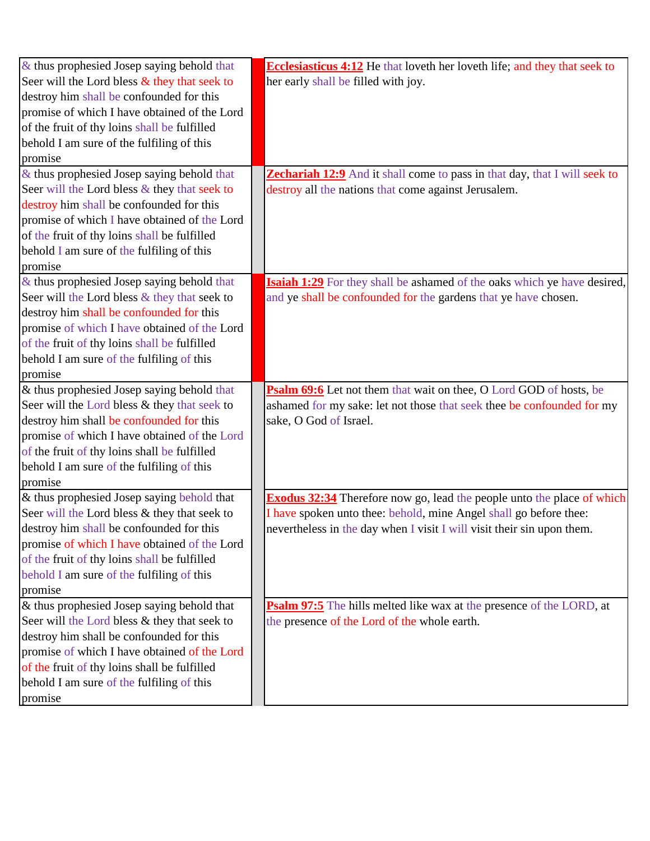| $\&$ thus prophesied Josep saying behold that   | <b>Ecclesiasticus 4:12</b> He that loveth her loveth life; and they that seek to |
|-------------------------------------------------|----------------------------------------------------------------------------------|
| Seer will the Lord bless $\&$ they that seek to | her early shall be filled with joy.                                              |
| destroy him shall be confounded for this        |                                                                                  |
| promise of which I have obtained of the Lord    |                                                                                  |
| of the fruit of thy loins shall be fulfilled    |                                                                                  |
| behold I am sure of the fulfiling of this       |                                                                                  |
| promise                                         |                                                                                  |
| & thus prophesied Josep saying behold that      | <b>Zechariah 12:9</b> And it shall come to pass in that day, that I will seek to |
| Seer will the Lord bless & they that seek to    | destroy all the nations that come against Jerusalem.                             |
| destroy him shall be confounded for this        |                                                                                  |
| promise of which I have obtained of the Lord    |                                                                                  |
| of the fruit of thy loins shall be fulfilled    |                                                                                  |
| behold I am sure of the fulfiling of this       |                                                                                  |
| promise                                         |                                                                                  |
| & thus prophesied Josep saying behold that      | <b>Isaiah 1:29</b> For they shall be ashamed of the oaks which ye have desired,  |
| Seer will the Lord bless & they that seek to    | and ye shall be confounded for the gardens that ye have chosen.                  |
| destroy him shall be confounded for this        |                                                                                  |
| promise of which I have obtained of the Lord    |                                                                                  |
| of the fruit of thy loins shall be fulfilled    |                                                                                  |
| behold I am sure of the fulfiling of this       |                                                                                  |
| promise                                         |                                                                                  |
| & thus prophesied Josep saying behold that      | Psalm 69:6 Let not them that wait on thee, O Lord GOD of hosts, be               |
| Seer will the Lord bless & they that seek to    | ashamed for my sake: let not those that seek thee be confounded for my           |
| destroy him shall be confounded for this        | sake, O God of Israel.                                                           |
| promise of which I have obtained of the Lord    |                                                                                  |
| of the fruit of thy loins shall be fulfilled    |                                                                                  |
| behold I am sure of the fulfiling of this       |                                                                                  |
| promise                                         |                                                                                  |
| & thus prophesied Josep saying behold that      | <b>Exodus 32:34</b> Therefore now go, lead the people unto the place of which    |
| Seer will the Lord bless & they that seek to    | I have spoken unto thee: behold, mine Angel shall go before thee:                |
| destroy him shall be confounded for this        | nevertheless in the day when I visit I will visit their sin upon them.           |
| promise of which I have obtained of the Lord    |                                                                                  |
| of the fruit of thy loins shall be fulfilled    |                                                                                  |
| behold I am sure of the fulfiling of this       |                                                                                  |
| promise                                         |                                                                                  |
| & thus prophesied Josep saying behold that      | <b>Psalm 97:5</b> The hills melted like wax at the presence of the LORD, at      |
| Seer will the Lord bless & they that seek to    | the presence of the Lord of the whole earth.                                     |
| destroy him shall be confounded for this        |                                                                                  |
| promise of which I have obtained of the Lord    |                                                                                  |
| of the fruit of thy loins shall be fulfilled    |                                                                                  |
| behold I am sure of the fulfiling of this       |                                                                                  |
| promise                                         |                                                                                  |